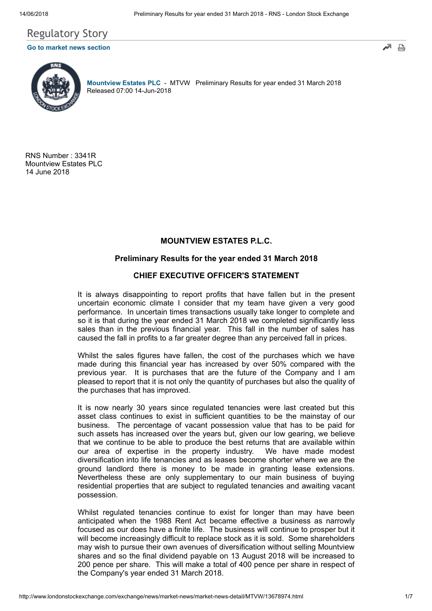# Regulatory Story

## [Go to market news section](javascript: sendto()





[Mountview Estates PLC](http://www.londonstockexchange.com/exchange/prices-and-markets/stocks/summary/company-summary-via-tidm.html?tidm=MTVW) - MTVW Preliminary Results for year ended 31 March 2018 Released 07:00 14-Jun-2018

RNS Number : 3341R Mountview Estates PLC 14 June 2018

# MOUNTVIEW ESTATES P.L.C.

## Preliminary Results for the year ended 31 March 2018

## CHIEF EXECUTIVE OFFICER'S STATEMENT

It is always disappointing to report profits that have fallen but in the present uncertain economic climate I consider that my team have given a very good performance. In uncertain times transactions usually take longer to complete and so it is that during the year ended 31 March 2018 we completed significantly less sales than in the previous financial year. This fall in the number of sales has caused the fall in profits to a far greater degree than any perceived fall in prices.

Whilst the sales figures have fallen, the cost of the purchases which we have made during this financial year has increased by over 50% compared with the previous year. It is purchases that are the future of the Company and I am pleased to report that it is not only the quantity of purchases but also the quality of the purchases that has improved.

It is now nearly 30 years since regulated tenancies were last created but this asset class continues to exist in sufficient quantities to be the mainstay of our business. The percentage of vacant possession value that has to be paid for such assets has increased over the years but, given our low gearing, we believe that we continue to be able to produce the best returns that are available within our area of expertise in the property industry. We have made modest diversification into life tenancies and as leases become shorter where we are the ground landlord there is money to be made in granting lease extensions. Nevertheless these are only supplementary to our main business of buying residential properties that are subject to regulated tenancies and awaiting vacant possession.

Whilst regulated tenancies continue to exist for longer than may have been anticipated when the 1988 Rent Act became effective a business as narrowly focused as our does have a finite life. The business will continue to prosper but it will become increasingly difficult to replace stock as it is sold. Some shareholders may wish to pursue their own avenues of diversification without selling Mountview shares and so the final dividend payable on 13 August 2018 will be increased to 200 pence per share. This will make a total of 400 pence per share in respect of the Company's year ended 31 March 2018.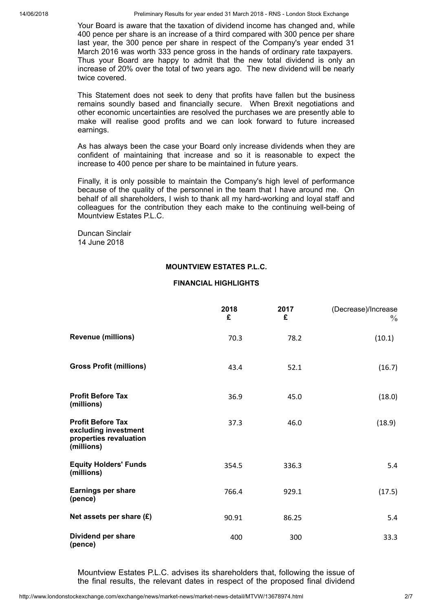14/06/2018 Preliminary Results for year ended 31 March 2018 - RNS - London Stock Exchange

Your Board is aware that the taxation of dividend income has changed and, while 400 pence per share is an increase of a third compared with 300 pence per share last year, the 300 pence per share in respect of the Company's year ended 31 March 2016 was worth 333 pence gross in the hands of ordinary rate taxpayers. Thus your Board are happy to admit that the new total dividend is only an increase of 20% over the total of two years ago. The new dividend will be nearly twice covered.

This Statement does not seek to deny that profits have fallen but the business remains soundly based and financially secure. When Brexit negotiations and other economic uncertainties are resolved the purchases we are presently able to make will realise good profits and we can look forward to future increased earnings.

As has always been the case your Board only increase dividends when they are confident of maintaining that increase and so it is reasonable to expect the increase to 400 pence per share to be maintained in future years.

Finally, it is only possible to maintain the Company's high level of performance because of the quality of the personnel in the team that I have around me. On behalf of all shareholders, I wish to thank all my hard-working and loyal staff and colleagues for the contribution they each make to the continuing well-being of Mountview Estates P.L.C.

Duncan Sinclair 14 June 2018

#### MOUNTVIEW ESTATES P.L.C.

### FINANCIAL HIGHLIGHTS

|                                                                                          | 2018<br>£ | 2017<br>£ | (Decrease)/Increase<br>$\%$ |
|------------------------------------------------------------------------------------------|-----------|-----------|-----------------------------|
| <b>Revenue (millions)</b>                                                                | 70.3      | 78.2      | (10.1)                      |
| <b>Gross Profit (millions)</b>                                                           | 43.4      | 52.1      | (16.7)                      |
| <b>Profit Before Tax</b><br>(millions)                                                   | 36.9      | 45.0      | (18.0)                      |
| <b>Profit Before Tax</b><br>excluding investment<br>properties revaluation<br>(millions) | 37.3      | 46.0      | (18.9)                      |
| <b>Equity Holders' Funds</b><br>(millions)                                               | 354.5     | 336.3     | 5.4                         |
| <b>Earnings per share</b><br>(pence)                                                     | 766.4     | 929.1     | (17.5)                      |
| Net assets per share $(E)$                                                               | 90.91     | 86.25     | 5.4                         |
| Dividend per share<br>(pence)                                                            | 400       | 300       | 33.3                        |

Mountview Estates P.L.C. advises its shareholders that, following the issue of the final results, the relevant dates in respect of the proposed final dividend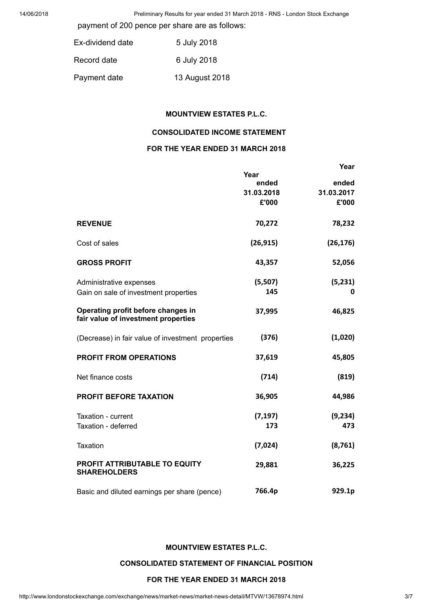14/06/2018 Preliminary Results for year ended 31 March 2018 - RNS - London Stock Exchange

payment of 200 pence per share are as follows:

| Ex-dividend date | 5 July 2018    |
|------------------|----------------|
| Record date      | 6 July 2018    |
| Payment date     | 13 August 2018 |

#### MOUNTVIEW ESTATES P.L.C.

## CONSOLIDATED INCOME STATEMENT

## FOR THE YEAR ENDED 31 MARCH 2018

|                                                                           |            | Year       |
|---------------------------------------------------------------------------|------------|------------|
|                                                                           | Year       |            |
|                                                                           | ended      | ended      |
|                                                                           | 31.03.2018 | 31.03.2017 |
|                                                                           | £'000      | £'000      |
| <b>REVENUE</b>                                                            | 70,272     | 78,232     |
| Cost of sales                                                             | (26, 915)  | (26, 176)  |
| <b>GROSS PROFIT</b>                                                       | 43,357     | 52,056     |
| Administrative expenses                                                   | (5,507)    | (5,231)    |
| Gain on sale of investment properties                                     | 145        | 0          |
| Operating profit before changes in<br>fair value of investment properties | 37,995     | 46,825     |
| (Decrease) in fair value of investment properties                         | (376)      | (1,020)    |
| <b>PROFIT FROM OPERATIONS</b>                                             | 37,619     | 45,805     |
| Net finance costs                                                         | (714)      | (819)      |
| <b>PROFIT BEFORE TAXATION</b>                                             | 36,905     | 44,986     |
| Taxation - current                                                        | (7, 197)   | (9, 234)   |
| Taxation - deferred                                                       | 173        | 473        |
| <b>Taxation</b>                                                           | (7,024)    | (8, 761)   |
| PROFIT ATTRIBUTABLE TO EQUITY<br><b>SHAREHOLDERS</b>                      | 29,881     | 36,225     |
| Basic and diluted earnings per share (pence)                              | 766.4p     | 929.1p     |

## MOUNTVIEW ESTATES P.L.C.

#### CONSOLIDATED STATEMENT OF FINANCIAL POSITION

## FOR THE YEAR ENDED 31 MARCH 2018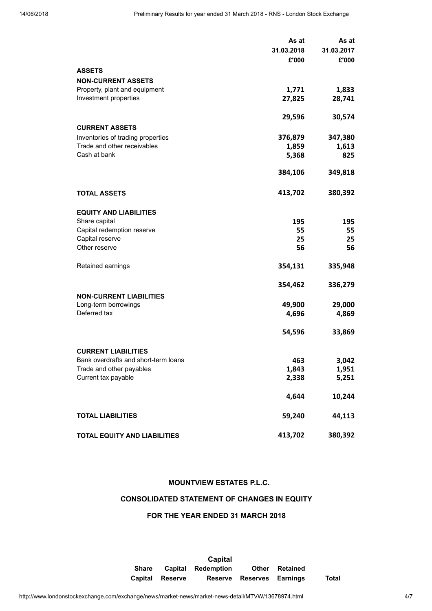|                                                                  | As at      | As at      |
|------------------------------------------------------------------|------------|------------|
|                                                                  | 31.03.2018 | 31.03.2017 |
|                                                                  | £'000      | £'000      |
| <b>ASSETS</b>                                                    |            |            |
| <b>NON-CURRENT ASSETS</b>                                        |            |            |
| Property, plant and equipment                                    | 1,771      | 1,833      |
| Investment properties                                            | 27,825     | 28,741     |
|                                                                  |            |            |
|                                                                  | 29,596     | 30,574     |
|                                                                  |            |            |
| <b>CURRENT ASSETS</b>                                            |            |            |
| Inventories of trading properties                                | 376,879    | 347,380    |
| Trade and other receivables                                      | 1,859      | 1,613      |
| Cash at bank                                                     | 5,368      | 825        |
|                                                                  | 384,106    | 349,818    |
|                                                                  |            |            |
|                                                                  |            |            |
| <b>TOTAL ASSETS</b>                                              | 413,702    | 380,392    |
|                                                                  |            |            |
| <b>EQUITY AND LIABILITIES</b>                                    |            |            |
| Share capital                                                    | 195        | 195        |
| Capital redemption reserve                                       | 55         | 55         |
| Capital reserve                                                  | 25         | 25         |
| Other reserve                                                    | 56         | 56         |
|                                                                  |            |            |
| Retained earnings                                                | 354,131    | 335,948    |
|                                                                  |            |            |
|                                                                  | 354,462    | 336,279    |
| <b>NON-CURRENT LIABILITIES</b>                                   |            |            |
| Long-term borrowings                                             | 49,900     | 29,000     |
| Deferred tax                                                     | 4,696      | 4,869      |
|                                                                  |            |            |
|                                                                  | 54,596     | 33,869     |
|                                                                  |            |            |
| <b>CURRENT LIABILITIES</b>                                       |            |            |
| Bank overdrafts and short-term loans<br>Trade and other payables | 463        | 3,042      |
| Current tax payable                                              | 1,843      | 1,951      |
|                                                                  | 2,338      | 5,251      |
|                                                                  | 4,644      | 10,244     |
|                                                                  |            |            |
| <b>TOTAL LIABILITIES</b>                                         | 59,240     | 44,113     |
|                                                                  |            |            |
| TOTAL EQUITY AND LIABILITIES                                     | 413,702    | 380,392    |
|                                                                  |            |            |

#### MOUNTVIEW ESTATES P.L.C.

## CONSOLIDATED STATEMENT OF CHANGES IN EQUITY

#### FOR THE YEAR ENDED 31 MARCH 2018

Capital Share Capital Redemption Other Retained Capital Reserve Reserve Reserves Earnings Total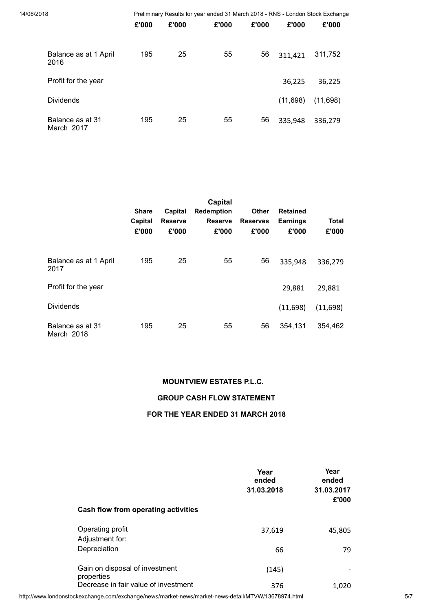| 14/06/2018                     |       |       | Preliminary Results for year ended 31 March 2018 - RNS - London Stock Exchange |       |          |          |  |
|--------------------------------|-------|-------|--------------------------------------------------------------------------------|-------|----------|----------|--|
|                                | £'000 | £'000 | £'000                                                                          | £'000 | £'000    | £'000    |  |
| Balance as at 1 April<br>2016  | 195   | 25    | 55                                                                             | 56    | 311,421  | 311,752  |  |
| Profit for the year            |       |       |                                                                                |       | 36,225   | 36,225   |  |
| <b>Dividends</b>               |       |       |                                                                                |       | (11,698) | (11,698) |  |
| Balance as at 31<br>March 2017 | 195   | 25    | 55                                                                             | 56    | 335,948  | 336,279  |  |

|                                | <b>Share</b><br>Capital<br>£'000 | Capital<br><b>Reserve</b><br>£'000 | Capital<br><b>Redemption</b><br><b>Reserve</b><br>£'000 | <b>Other</b><br><b>Reserves</b><br>£'000 | <b>Retained</b><br><b>Earnings</b><br>£'000 | <b>Total</b><br>£'000 |
|--------------------------------|----------------------------------|------------------------------------|---------------------------------------------------------|------------------------------------------|---------------------------------------------|-----------------------|
| Balance as at 1 April<br>2017  | 195                              | 25                                 | 55                                                      | 56                                       | 335,948                                     | 336,279               |
| Profit for the year            |                                  |                                    |                                                         |                                          | 29,881                                      | 29,881                |
| <b>Dividends</b>               |                                  |                                    |                                                         |                                          | (11,698)                                    | (11,698)              |
| Balance as at 31<br>March 2018 | 195                              | 25                                 | 55                                                      | 56                                       | 354,131                                     | 354,462               |

## MOUNTVIEW ESTATES P.L.C.

## GROUP CASH FLOW STATEMENT

#### FOR THE YEAR ENDED 31 MARCH 2018

| Cash flow from operating activities          | Year<br>ended<br>31.03.2018 | Year<br>ended<br>31.03.2017<br>£'000 |
|----------------------------------------------|-----------------------------|--------------------------------------|
| Operating profit<br>Adjustment for:          | 37,619                      | 45,805                               |
| Depreciation                                 | 66                          | 79                                   |
| Gain on disposal of investment<br>properties | (145)                       |                                      |
| Decrease in fair value of investment         | 376                         | 1,020                                |

http://www.londonstockexchange.com/exchange/news/market-news/market-news-detail/MTVW/13678974.html 5/7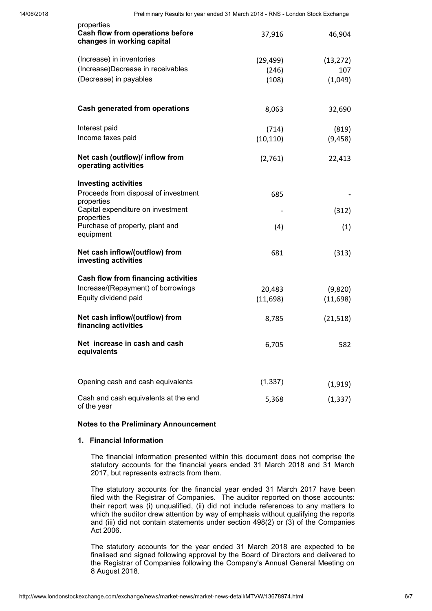| properties<br>Cash flow from operations before<br>changes in working capital | 37,916    | 46,904    |
|------------------------------------------------------------------------------|-----------|-----------|
| (Increase) in inventories                                                    | (29, 499) | (13, 272) |
| (Increase)Decrease in receivables                                            | (246)     | 107       |
| (Decrease) in payables                                                       | (108)     | (1,049)   |
| <b>Cash generated from operations</b>                                        | 8,063     | 32,690    |
| Interest paid                                                                | (714)     | (819)     |
| Income taxes paid                                                            | (10, 110) | (9, 458)  |
| Net cash (outflow)/ inflow from<br>operating activities                      | (2,761)   | 22,413    |
| <b>Investing activities</b>                                                  |           |           |
| Proceeds from disposal of investment<br>properties                           | 685       |           |
| Capital expenditure on investment<br>properties                              |           | (312)     |
| Purchase of property, plant and<br>equipment                                 | (4)       | (1)       |
| Net cash inflow/(outflow) from<br>investing activities                       | 681       | (313)     |
| <b>Cash flow from financing activities</b>                                   |           |           |
| Increase/(Repayment) of borrowings                                           | 20,483    | (9,820)   |
| Equity dividend paid                                                         | (11,698)  | (11,698)  |
| Net cash inflow/(outflow) from<br>financing activities                       | 8,785     | (21, 518) |
| Net increase in cash and cash<br>equivalents                                 | 6,705     | 582       |
| Opening cash and cash equivalents                                            | (1, 337)  | (1, 919)  |
| Cash and cash equivalents at the end                                         |           |           |
| of the year                                                                  | 5,368     | (1, 337)  |

#### Notes to the Preliminary Announcement

#### 1. Financial Information

The financial information presented within this document does not comprise the statutory accounts for the financial years ended 31 March 2018 and 31 March 2017, but represents extracts from them.

The statutory accounts for the financial year ended 31 March 2017 have been filed with the Registrar of Companies. The auditor reported on those accounts: their report was (i) unqualified, (ii) did not include references to any matters to which the auditor drew attention by way of emphasis without qualifying the reports and (iii) did not contain statements under section 498(2) or (3) of the Companies Act 2006.

The statutory accounts for the year ended 31 March 2018 are expected to be finalised and signed following approval by the Board of Directors and delivered to the Registrar of Companies following the Company's Annual General Meeting on 8 August 2018.